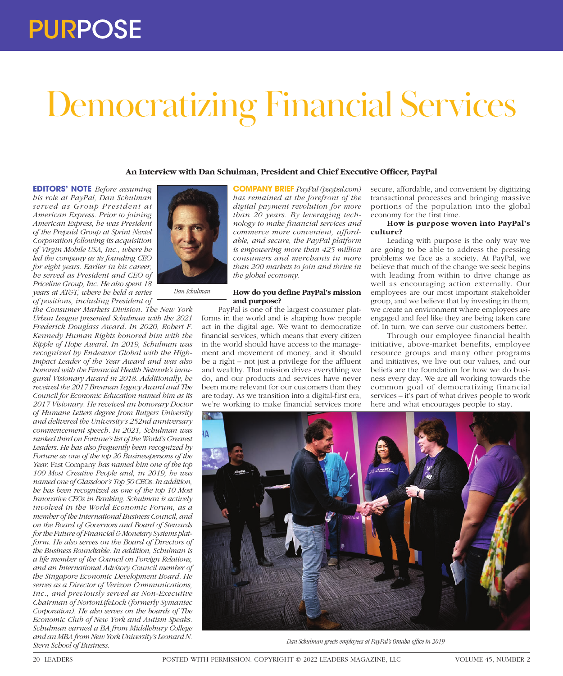# PURPOSE

# Democratizing Financial Services

# **An Interview with Dan Schulman, President and Chief Executive Officer, PayPal**

**EDITORS' NOTE** *Before assuming his role at PayPal, Dan Schulman*   $served$  as Group President at *American Express. Prior to joining American Express, he was President of the Prepaid Group at Sprint Nextel Corporation following its acquisition of Virgin Mobile USA, Inc., where he led the company as its founding CEO for eight years. Earlier in his career, he served as President and CEO of Priceline Group, Inc. He also spent 18 years at AT&T, where he held a series of positions, including President of* 

*the Consumer Markets Division. The New York Urban League presented Schulman with the 2021 Frederick Douglass Award. In 2020, Robert F. Kennedy Human Rights honored him with the Ripple of Hope Award. In 2019, Schulman was recognized by Endeavor Global with the High-Impact Leader of the Year Award and was also honored with the Financial Health Network's inaugural Visionary Award in 2018. Additionally, he received the 2017 Brennan Legacy Award and The Council for Economic Education named him as its 2017 Visionary. He received an honorary Doctor of Humane Letters degree from Rutgers University and delivered the University's 252nd anniversary commencement speech. In 2021, Schulman was ranked third on Fortune's list of the World's Greatest Leaders. He has also frequently been recognized by Fortune as one of the top 20 Businesspersons of the Year.* Fast Company *has named him one of the top 100 Most Creative People and, in 2019, he was named one of Glassdoor's Top 50 CEOs. In addition, he has been recognized as one of the top 10 Most Innovative CEOs in Banking. Schulman is actively involved in the World Economic Forum, as a member of the International Business Council, and on the Board of Governors and Board of Stewards for the Future of Financial & Monetary Systems platform. He also serves on the Board of Directors of the Business Roundtable. In addition, Schulman is a life member of the Council on Foreign Relations, and an International Advisory Council member of the Singapore Economic Development Board. He serves as a Director of Verizon Communications, Inc., and previously served as Non-Executive Chairman of NortonLifeLock (formerly Symantec Corporation). He also serves on the boards of The Economic Club of New York and Autism Speaks. Schulman earned a BA from Middlebury College and an MBA from New York University's Leonard N. Stern School of Business.*



*Dan Schulman*

**COMPANY BRIEF** *PayPal (paypal.com) has remained at the forefront of the digital payment revolution for more than 20 years. By leveraging technology to make financial services and commerce more convenient, affordable, and secure, the PayPal platform is empowering more than 425 million consumers and merchants in more than 200 markets to join and thrive in the global economy.*

#### **How do you define PayPal's mission and purpose?**

PayPal is one of the largest consumer platforms in the world and is shaping how people act in the digital age. We want to democratize financial services, which means that every citizen in the world should have access to the management and movement of money, and it should be a right – not just a privilege for the affluent and wealthy. That mission drives everything we do, and our products and services have never been more relevant for our customers than they are today. As we transition into a digital-first era, we're working to make financial services more

secure, affordable, and convenient by digitizing transactional processes and bringing massive portions of the population into the global economy for the first time.

# **How is purpose woven into PayPal's culture?**

Leading with purpose is the only way we are going to be able to address the pressing problems we face as a society. At PayPal, we believe that much of the change we seek begins with leading from within to drive change as well as encouraging action externally. Our employees are our most important stakeholder group, and we believe that by investing in them, we create an environment where employees are engaged and feel like they are being taken care of. In turn, we can serve our customers better.

Through our employee financial health initiative, above-market benefits, employee resource groups and many other programs and initiatives, we live out our values, and our beliefs are the foundation for how we do business every day. We are all working towards the common goal of democratizing financial services – it's part of what drives people to work here and what encourages people to stay.



*Dan Schulman greets employees at PayPal's Omaha office in 2019*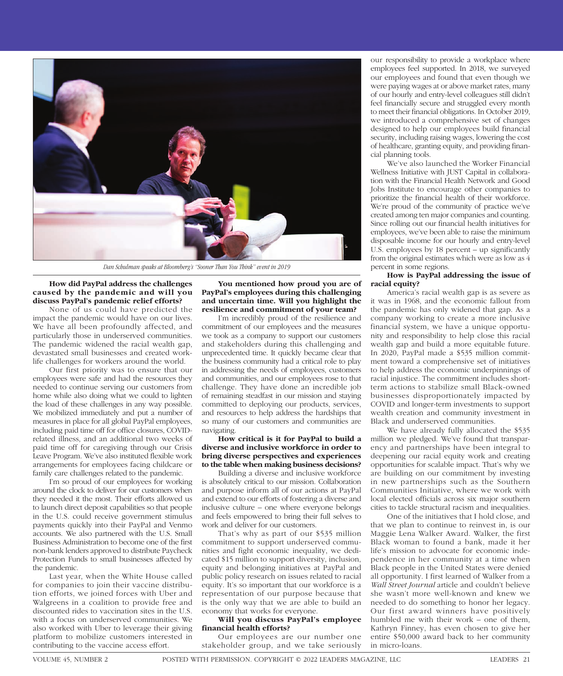

*Dan Schulman speaks at Bloomberg's "Sooner Than You Think" event in 2019*

#### **How did PayPal address the challenges caused by the pandemic and will you discuss PayPal's pandemic relief efforts?**

None of us could have predicted the impact the pandemic would have on our lives. We have all been profoundly affected, and particularly those in underserved communities. The pandemic widened the racial wealth gap, devastated small businesses and created worklife challenges for workers around the world.

Our first priority was to ensure that our employees were safe and had the resources they needed to continue serving our customers from home while also doing what we could to lighten the load of these challenges in any way possible. We mobilized immediately and put a number of measures in place for all global PayPal employees, including paid time off for office closures, COVIDrelated illness, and an additional two weeks of paid time off for caregiving through our Crisis Leave Program. We've also instituted flexible work arrangements for employees facing childcare or family care challenges related to the pandemic.

I'm so proud of our employees for working around the clock to deliver for our customers when they needed it the most. Their efforts allowed us to launch direct deposit capabilities so that people in the U.S. could receive government stimulus payments quickly into their PayPal and Venmo accounts. We also partnered with the U.S. Small Business Administration to become one of the first non-bank lenders approved to distribute Paycheck Protection Funds to small businesses affected by the pandemic.

Last year, when the White House called for companies to join their vaccine distribution efforts, we joined forces with Uber and Walgreens in a coalition to provide free and discounted rides to vaccination sites in the U.S. with a focus on underserved communities. We also worked with Uber to leverage their giving platform to mobilize customers interested in contributing to the vaccine access effort.

**You mentioned how proud you are of PayPal's employees during this challenging and uncertain time. Will you highlight the resilience and commitment of your team?**

I'm incredibly proud of the resilience and commitment of our employees and the measures we took as a company to support our customers and stakeholders during this challenging and unprecedented time. It quickly became clear that the business community had a critical role to play in addressing the needs of employees, customers and communities, and our employees rose to that challenge. They have done an incredible job of remaining steadfast in our mission and staying committed to deploying our products, services, and resources to help address the hardships that so many of our customers and communities are navigating.

# **How critical is it for PayPal to build a diverse and inclusive workforce in order to bring diverse perspectives and experiences to the table when making business decisions?**

Building a diverse and inclusive workforce is absolutely critical to our mission. Collaboration and purpose inform all of our actions at PayPal and extend to our efforts of fostering a diverse and inclusive culture – one where everyone belongs and feels empowered to bring their full selves to work and deliver for our customers.

That's why as part of our \$535 million commitment to support underserved communities and fight economic inequality, we dedicated \$15 million to support diversity, inclusion, equity and belonging initiatives at PayPal and public policy research on issues related to racial equity. It's so important that our workforce is a representation of our purpose because that is the only way that we are able to build an economy that works for everyone.

#### **Will you discuss PayPal's employee financial health efforts?**

Our employees are our number one stakeholder group, and we take seriously

our responsibility to provide a workplace where employees feel supported. In 2018, we surveyed our employees and found that even though we were paying wages at or above market rates, many of our hourly and entry-level colleagues still didn't feel financially secure and struggled every month to meet their financial obligations. In October 2019, we introduced a comprehensive set of changes designed to help our employees build financial security, including raising wages, lowering the cost of healthcare, granting equity, and providing financial planning tools.

We've also launched the Worker Financial Wellness Initiative with JUST Capital in collaboration with the Financial Health Network and Good Jobs Institute to encourage other companies to prioritize the financial health of their workforce. We're proud of the community of practice we've created among ten major companies and counting. Since rolling out our financial health initiatives for employees, we've been able to raise the minimum disposable income for our hourly and entry-level U.S. employees by 18 percent – up significantly from the original estimates which were as low as 4 percent in some regions.

# **How is PayPal addressing the issue of racial equity?**

America's racial wealth gap is as severe as it was in 1968, and the economic fallout from the pandemic has only widened that gap. As a company working to create a more inclusive financial system, we have a unique opportunity and responsibility to help close this racial wealth gap and build a more equitable future. In 2020, PayPal made a \$535 million commitment toward a comprehensive set of initiatives to help address the economic underpinnings of racial injustice. The commitment includes shortterm actions to stabilize small Black-owned businesses disproportionately impacted by COVID and longer-term investments to support wealth creation and community investment in Black and underserved communities.

We have already fully allocated the \$535 million we pledged. We've found that transparency and partnerships have been integral to deepening our racial equity work and creating opportunities for scalable impact. That's why we are building on our commitment by investing in new partnerships such as the Southern Communities Initiative, where we work with local elected officials across six major southern cities to tackle structural racism and inequalities.

One of the initiatives that I hold close, and that we plan to continue to reinvest in, is our Maggie Lena Walker Award. Walker, the first Black woman to found a bank, made it her life's mission to advocate for economic independence in her community at a time when Black people in the United States were denied all opportunity. I first learned of Walker from a *Wall Street Journal* article and couldn't believe she wasn't more well-known and knew we needed to do something to honor her legacy. Our first award winners have positively humbled me with their work – one of them, Kathryn Finney, has even chosen to give her entire \$50,000 award back to her community in micro-loans.